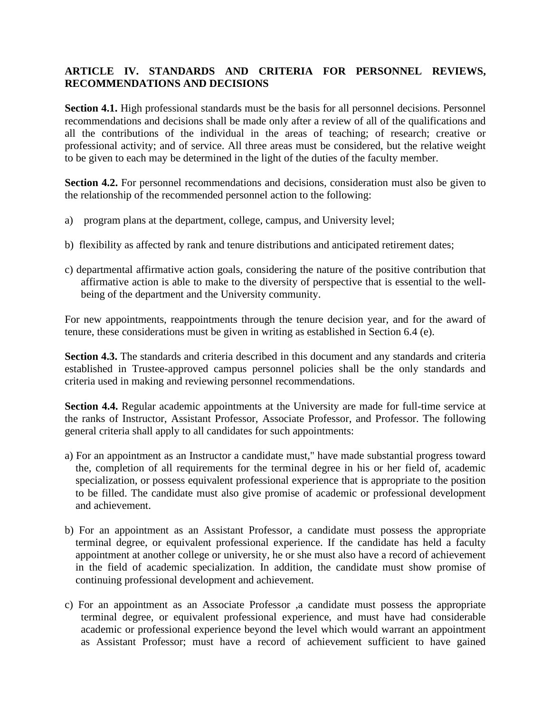## **ARTICLE IV. STANDARDS AND CRITERIA FOR PERSONNEL REVIEWS, RECOMMENDATIONS AND DECISIONS**

**Section 4.1.** High professional standards must be the basis for all personnel decisions. Personnel recommendations and decisions shall be made only after a review of all of the qualifications and all the contributions of the individual in the areas of teaching; of research; creative or professional activity; and of service. All three areas must be considered, but the relative weight to be given to each may be determined in the light of the duties of the faculty member.

**Section 4.2.** For personnel recommendations and decisions, consideration must also be given to the relationship of the recommended personnel action to the following:

- a) program plans at the department, college, campus, and University level;
- b) flexibility as affected by rank and tenure distributions and anticipated retirement dates;
- c) departmental affirmative action goals, considering the nature of the positive contribution that affirmative action is able to make to the diversity of perspective that is essential to the wellbeing of the department and the University community.

For new appointments, reappointments through the tenure decision year, and for the award of tenure, these considerations must be given in writing as established in Section 6.4 (e).

**Section 4.3.** The standards and criteria described in this document and any standards and criteria established in Trustee-approved campus personnel policies shall be the only standards and criteria used in making and reviewing personnel recommendations.

**Section 4.4.** Regular academic appointments at the University are made for full-time service at the ranks of Instructor, Assistant Professor, Associate Professor, and Professor. The following general criteria shall apply to all candidates for such appointments:

- a) For an appointment as an Instructor a candidate must," have made substantial progress toward the, completion of all requirements for the terminal degree in his or her field of, academic specialization, or possess equivalent professional experience that is appropriate to the position to be filled. The candidate must also give promise of academic or professional development and achievement.
- b) For an appointment as an Assistant Professor, a candidate must possess the appropriate terminal degree, or equivalent professional experience. If the candidate has held a faculty appointment at another college or university, he or she must also have a record of achievement in the field of academic specialization. In addition, the candidate must show promise of continuing professional development and achievement.
- c) For an appointment as an Associate Professor ,a candidate must possess the appropriate terminal degree, or equivalent professional experience, and must have had considerable academic or professional experience beyond the level which would warrant an appointment as Assistant Professor; must have a record of achievement sufficient to have gained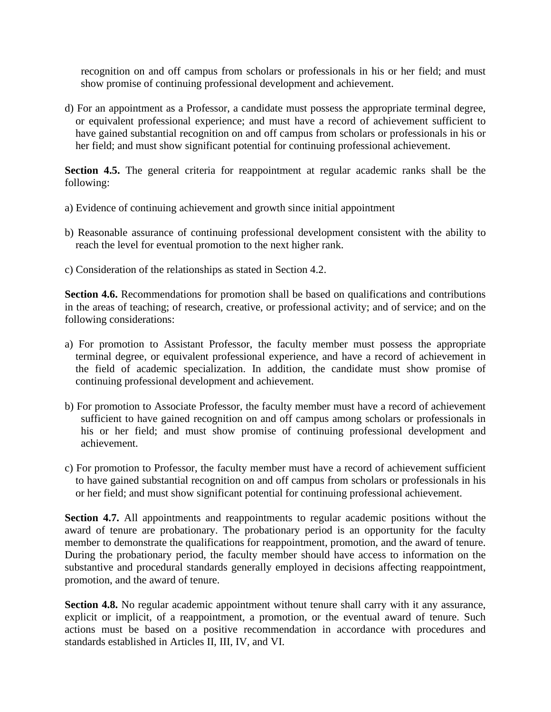recognition on and off campus from scholars or professionals in his or her field; and must show promise of continuing professional development and achievement.

d) For an appointment as a Professor, a candidate must possess the appropriate terminal degree, or equivalent professional experience; and must have a record of achievement sufficient to have gained substantial recognition on and off campus from scholars or professionals in his or her field; and must show significant potential for continuing professional achievement.

**Section 4.5.** The general criteria for reappointment at regular academic ranks shall be the following:

- a) Evidence of continuing achievement and growth since initial appointment
- b) Reasonable assurance of continuing professional development consistent with the ability to reach the level for eventual promotion to the next higher rank.
- c) Consideration of the relationships as stated in Section 4.2.

**Section 4.6.** Recommendations for promotion shall be based on qualifications and contributions in the areas of teaching; of research, creative, or professional activity; and of service; and on the following considerations:

- a) For promotion to Assistant Professor, the faculty member must possess the appropriate terminal degree, or equivalent professional experience, and have a record of achievement in the field of academic specialization. In addition, the candidate must show promise of continuing professional development and achievement.
- b) For promotion to Associate Professor, the faculty member must have a record of achievement sufficient to have gained recognition on and off campus among scholars or professionals in his or her field; and must show promise of continuing professional development and achievement.
- c) For promotion to Professor, the faculty member must have a record of achievement sufficient to have gained substantial recognition on and off campus from scholars or professionals in his or her field; and must show significant potential for continuing professional achievement.

**Section 4.7.** All appointments and reappointments to regular academic positions without the award of tenure are probationary. The probationary period is an opportunity for the faculty member to demonstrate the qualifications for reappointment, promotion, and the award of tenure. During the probationary period, the faculty member should have access to information on the substantive and procedural standards generally employed in decisions affecting reappointment, promotion, and the award of tenure.

**Section 4.8.** No regular academic appointment without tenure shall carry with it any assurance, explicit or implicit, of a reappointment, a promotion, or the eventual award of tenure. Such actions must be based on a positive recommendation in accordance with procedures and standards established in Articles II, III, IV, and VI.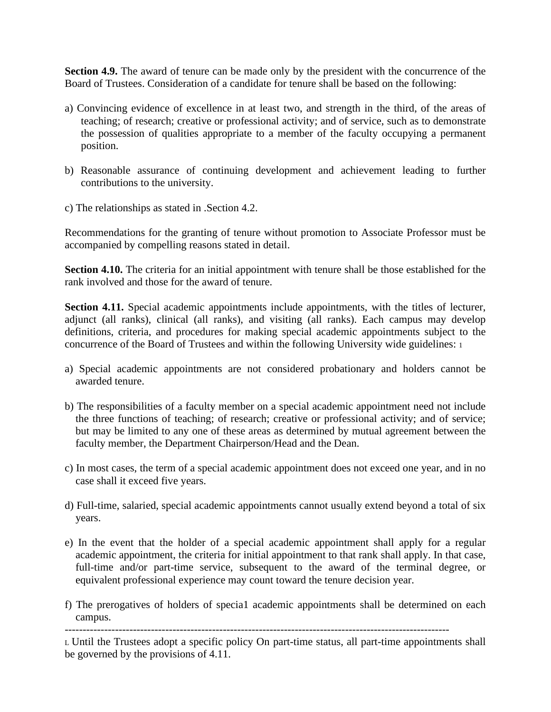**Section 4.9.** The award of tenure can be made only by the president with the concurrence of the Board of Trustees. Consideration of a candidate for tenure shall be based on the following:

- a) Convincing evidence of excellence in at least two, and strength in the third, of the areas of teaching; of research; creative or professional activity; and of service, such as to demonstrate the possession of qualities appropriate to a member of the faculty occupying a permanent position.
- b) Reasonable assurance of continuing development and achievement leading to further contributions to the university.
- c) The relationships as stated in .Section 4.2.

Recommendations for the granting of tenure without promotion to Associate Professor must be accompanied by compelling reasons stated in detail.

**Section 4.10.** The criteria for an initial appointment with tenure shall be those established for the rank involved and those for the award of tenure.

**Section 4.11.** Special academic appointments include appointments, with the titles of lecturer, adjunct (all ranks), clinical (all ranks), and visiting (all ranks). Each campus may develop definitions, criteria, and procedures for making special academic appointments subject to the concurrence of the Board of Trustees and within the following University wide guidelines: 1

- a) Special academic appointments are not considered probationary and holders cannot be awarded tenure.
- b) The responsibilities of a faculty member on a special academic appointment need not include the three functions of teaching; of research; creative or professional activity; and of service; but may be limited to any one of these areas as determined by mutual agreement between the faculty member, the Department Chairperson/Head and the Dean.
- c) In most cases, the term of a special academic appointment does not exceed one year, and in no case shall it exceed five years.
- d) Full-time, salaried, special academic appointments cannot usually extend beyond a total of six years.
- e) In the event that the holder of a special academic appointment shall apply for a regular academic appointment, the criteria for initial appointment to that rank shall apply. In that case, full-time and/or part-time service, subsequent to the award of the terminal degree, or equivalent professional experience may count toward the tenure decision year.
- f) The prerogatives of holders of specia1 academic appointments shall be determined on each campus.

-----------------------------------------------------------------------------------------------------------

<sup>L</sup> Until the Trustees adopt a specific policy On part-time status, all part-time appointments shall be governed by the provisions of 4.11.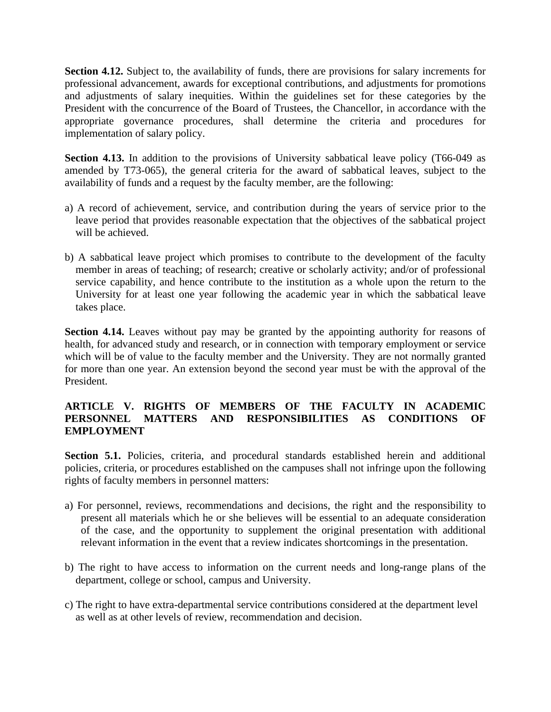**Section 4.12.** Subject to, the availability of funds, there are provisions for salary increments for professional advancement, awards for exceptional contributions, and adjustments for promotions and adjustments of salary inequities. Within the guidelines set for these categories by the President with the concurrence of the Board of Trustees, the Chancellor, in accordance with the appropriate governance procedures, shall determine the criteria and procedures for implementation of salary policy.

Section 4.13. In addition to the provisions of University sabbatical leave policy (T66-049 as amended by T73-065), the general criteria for the award of sabbatical leaves, subject to the availability of funds and a request by the faculty member, are the following:

- a) A record of achievement, service, and contribution during the years of service prior to the leave period that provides reasonable expectation that the objectives of the sabbatical project will be achieved.
- b) A sabbatical leave project which promises to contribute to the development of the faculty member in areas of teaching; of research; creative or scholarly activity; and/or of professional service capability, and hence contribute to the institution as a whole upon the return to the University for at least one year following the academic year in which the sabbatical leave takes place.

**Section 4.14.** Leaves without pay may be granted by the appointing authority for reasons of health, for advanced study and research, or in connection with temporary employment or service which will be of value to the faculty member and the University. They are not normally granted for more than one year. An extension beyond the second year must be with the approval of the President.

## **ARTICLE V. RIGHTS OF MEMBERS OF THE FACULTY IN ACADEMIC PERSONNEL MATTERS AND RESPONSIBILITIES AS CONDITIONS OF EMPLOYMENT**

Section 5.1. Policies, criteria, and procedural standards established herein and additional policies, criteria, or procedures established on the campuses shall not infringe upon the following rights of faculty members in personnel matters:

- a) For personnel, reviews, recommendations and decisions, the right and the responsibility to present all materials which he or she believes will be essential to an adequate consideration of the case, and the opportunity to supplement the original presentation with additional relevant information in the event that a review indicates shortcomings in the presentation.
- b) The right to have access to information on the current needs and long-range plans of the department, college or school, campus and University.
- c) The right to have extra-departmental service contributions considered at the department level as well as at other levels of review, recommendation and decision.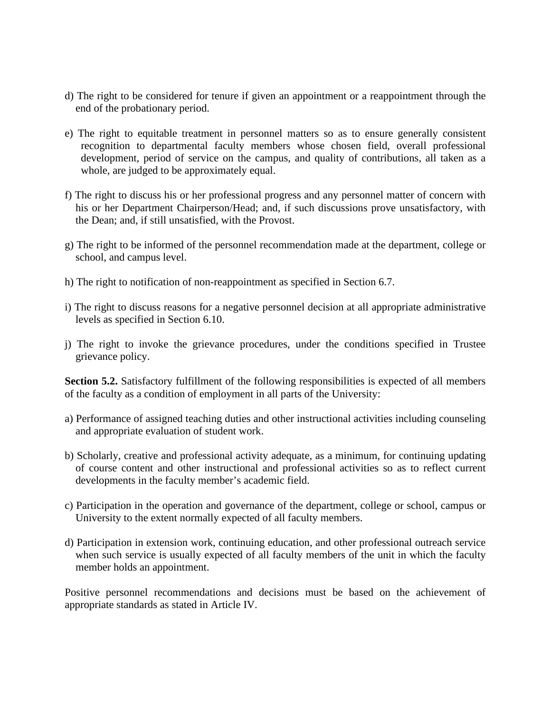- d) The right to be considered for tenure if given an appointment or a reappointment through the end of the probationary period.
- e) The right to equitable treatment in personnel matters so as to ensure generally consistent recognition to departmental faculty members whose chosen field, overall professional development, period of service on the campus, and quality of contributions, all taken as a whole, are judged to be approximately equal.
- f) The right to discuss his or her professional progress and any personnel matter of concern with his or her Department Chairperson/Head; and, if such discussions prove unsatisfactory, with the Dean; and, if still unsatisfied, with the Provost.
- g) The right to be informed of the personnel recommendation made at the department, college or school, and campus level.
- h) The right to notification of non-reappointment as specified in Section 6.7.
- i) The right to discuss reasons for a negative personnel decision at all appropriate administrative levels as specified in Section 6.10.
- j) The right to invoke the grievance procedures, under the conditions specified in Trustee grievance policy.

**Section 5.2.** Satisfactory fulfillment of the following responsibilities is expected of all members of the faculty as a condition of employment in all parts of the University:

- a) Performance of assigned teaching duties and other instructional activities including counseling and appropriate evaluation of student work.
- b) Scholarly, creative and professional activity adequate, as a minimum, for continuing updating of course content and other instructional and professional activities so as to reflect current developments in the faculty member's academic field.
- c) Participation in the operation and governance of the department, college or school, campus or University to the extent normally expected of all faculty members.
- d) Participation in extension work, continuing education, and other professional outreach service when such service is usually expected of all faculty members of the unit in which the faculty member holds an appointment.

Positive personnel recommendations and decisions must be based on the achievement of appropriate standards as stated in Article IV.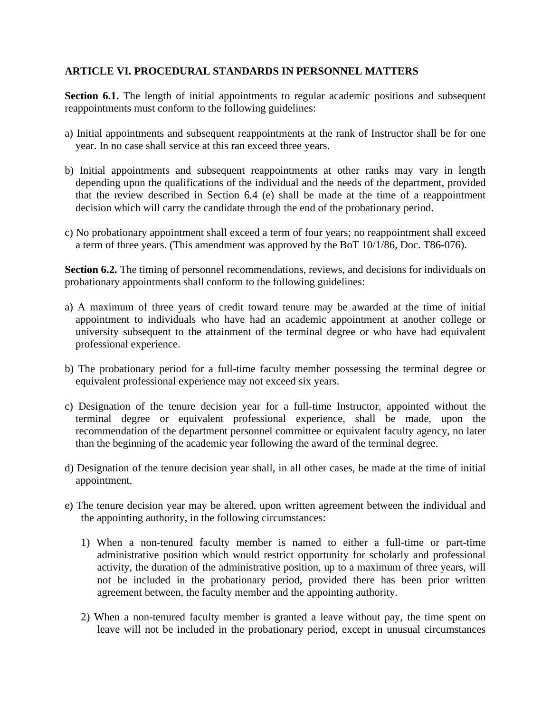## **ARTICLE VI. PROCEDURAL STANDARDS IN PERSONNEL MATTERS**

**Section 6.1.** The length of initial appointments to regular academic positions and subsequent reappointments must conform to the following guidelines:

- a) Initial appointments and subsequent reappointments at the rank of Instructor shall be for one year. In no case shall service at this ran exceed three years.
- b) Initial appointments and subsequent reappointments at other ranks may vary in length depending upon the qualifications of the individual and the needs of the department, provided that the review described in Section 6.4 (e) shall be made at the time of a reappointment decision which will carry the candidate through the end of the probationary period.
- c) No probationary appointment shall exceed a term of four years; no reappointment shall exceed a term of three years. (This amendment was approved by the BoT 10/1/86, Doc. T86-076).

**Section 6.2.** The timing of personnel recommendations, reviews, and decisions for individuals on probationary appointments shall conform to the following guidelines:

- a) A maximum of three years of credit toward tenure may be awarded at the time of initial appointment to individuals who have had an academic appointment at another college or university subsequent to the attainment of the terminal degree or who have had equivalent professional experience.
- b) The probationary period for a full-time faculty member possessing the terminal degree or equivalent professional experience may not exceed six years.
- c) Designation of the tenure decision year for a full-time Instructor, appointed without the terminal degree or equivalent professional experience, shall be made, upon the recommendation of the department personnel committee or equivalent faculty agency, no later than the beginning of the academic year following the award of the terminal degree.
- d) Designation of the tenure decision year shall, in all other cases, be made at the time of initial appointment.
- e) The tenure decision year may be altered, upon written agreement between the individual and the appointing authority, in the following circumstances:
	- 1) When a non-tenured faculty member is named to either a full-time or part-time administrative position which would restrict opportunity for scholarly and professional activity, the duration of the administrative position, up to a maximum of three years, will not be included in the probationary period, provided there has been prior written agreement between, the faculty member and the appointing authority.
	- 2) When a non-tenured faculty member is granted a leave without pay, the time spent on leave will not be included in the probationary period, except in unusual circumstances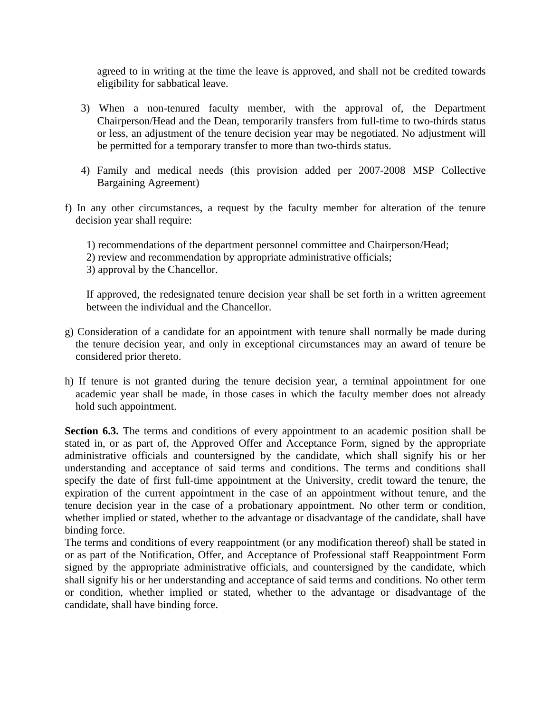agreed to in writing at the time the leave is approved, and shall not be credited towards eligibility for sabbatical leave.

- 3) When a non-tenured faculty member, with the approval of, the Department Chairperson/Head and the Dean, temporarily transfers from full-time to two-thirds status or less, an adjustment of the tenure decision year may be negotiated. No adjustment will be permitted for a temporary transfer to more than two-thirds status.
- 4) Family and medical needs (this provision added per 2007-2008 MSP Collective Bargaining Agreement)
- f) In any other circumstances, a request by the faculty member for alteration of the tenure decision year shall require:
	- 1) recommendations of the department personnel committee and Chairperson/Head;
	- 2) review and recommendation by appropriate administrative officials;
	- 3) approval by the Chancellor.

If approved, the redesignated tenure decision year shall be set forth in a written agreement between the individual and the Chancellor.

- g) Consideration of a candidate for an appointment with tenure shall normally be made during the tenure decision year, and only in exceptional circumstances may an award of tenure be considered prior thereto.
- h) If tenure is not granted during the tenure decision year, a terminal appointment for one academic year shall be made, in those cases in which the faculty member does not already hold such appointment.

**Section 6.3.** The terms and conditions of every appointment to an academic position shall be stated in, or as part of, the Approved Offer and Acceptance Form, signed by the appropriate administrative officials and countersigned by the candidate, which shall signify his or her understanding and acceptance of said terms and conditions. The terms and conditions shall specify the date of first full-time appointment at the University, credit toward the tenure, the expiration of the current appointment in the case of an appointment without tenure, and the tenure decision year in the case of a probationary appointment. No other term or condition, whether implied or stated, whether to the advantage or disadvantage of the candidate, shall have binding force.

The terms and conditions of every reappointment (or any modification thereof) shall be stated in or as part of the Notification, Offer, and Acceptance of Professional staff Reappointment Form signed by the appropriate administrative officials, and countersigned by the candidate, which shall signify his or her understanding and acceptance of said terms and conditions. No other term or condition, whether implied or stated, whether to the advantage or disadvantage of the candidate, shall have binding force.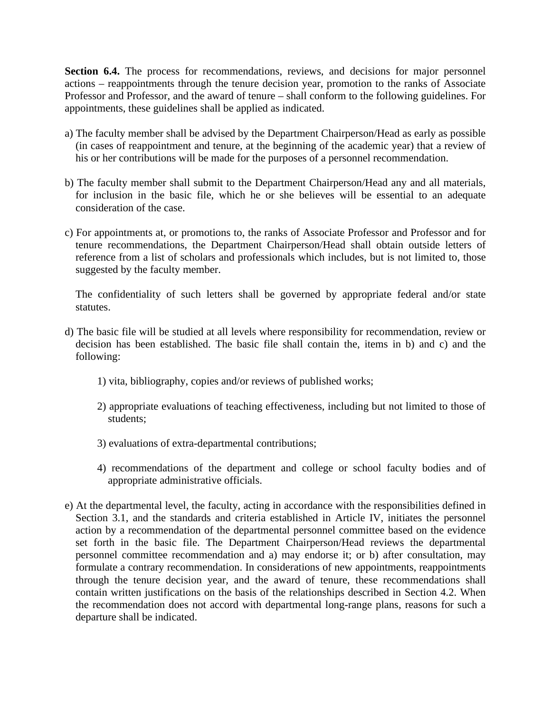**Section 6.4.** The process for recommendations, reviews, and decisions for major personnel actions – reappointments through the tenure decision year, promotion to the ranks of Associate Professor and Professor, and the award of tenure – shall conform to the following guidelines. For appointments, these guidelines shall be applied as indicated.

- a) The faculty member shall be advised by the Department Chairperson/Head as early as possible (in cases of reappointment and tenure, at the beginning of the academic year) that a review of his or her contributions will be made for the purposes of a personnel recommendation.
- b) The faculty member shall submit to the Department Chairperson/Head any and all materials, for inclusion in the basic file, which he or she believes will be essential to an adequate consideration of the case.
- c) For appointments at, or promotions to, the ranks of Associate Professor and Professor and for tenure recommendations, the Department Chairperson/Head shall obtain outside letters of reference from a list of scholars and professionals which includes, but is not limited to, those suggested by the faculty member.

The confidentiality of such letters shall be governed by appropriate federal and/or state statutes.

- d) The basic file will be studied at all levels where responsibility for recommendation, review or decision has been established. The basic file shall contain the, items in b) and c) and the following:
	- 1) vita, bibliography, copies and/or reviews of published works;
	- 2) appropriate evaluations of teaching effectiveness, including but not limited to those of students;
	- 3) evaluations of extra-departmental contributions;
	- 4) recommendations of the department and college or school faculty bodies and of appropriate administrative officials.
- e) At the departmental level, the faculty, acting in accordance with the responsibilities defined in Section 3.1, and the standards and criteria established in Article IV, initiates the personnel action by a recommendation of the departmental personnel committee based on the evidence set forth in the basic file. The Department Chairperson/Head reviews the departmental personnel committee recommendation and a) may endorse it; or b) after consultation, may formulate a contrary recommendation. In considerations of new appointments, reappointments through the tenure decision year, and the award of tenure, these recommendations shall contain written justifications on the basis of the relationships described in Section 4.2. When the recommendation does not accord with departmental long-range plans, reasons for such a departure shall be indicated.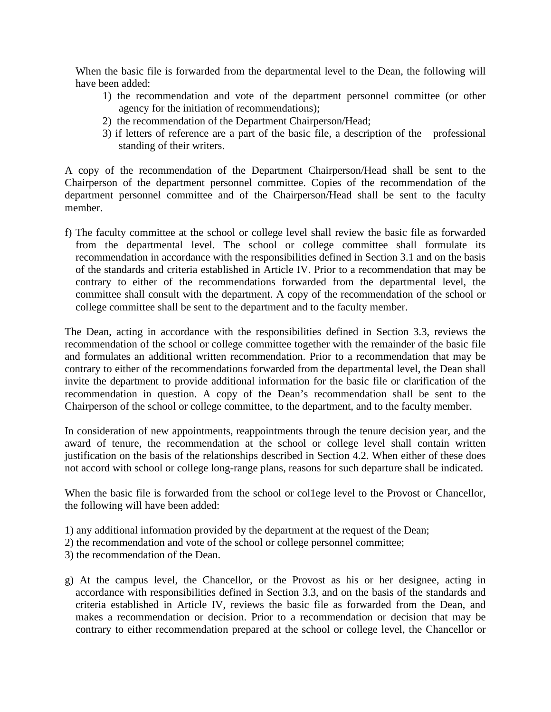When the basic file is forwarded from the departmental level to the Dean, the following will have been added:

- 1) the recommendation and vote of the department personnel committee (or other agency for the initiation of recommendations);
- 2) the recommendation of the Department Chairperson/Head;
- 3) if letters of reference are a part of the basic file, a description of the professional standing of their writers.

A copy of the recommendation of the Department Chairperson/Head shall be sent to the Chairperson of the department personnel committee. Copies of the recommendation of the department personnel committee and of the Chairperson/Head shall be sent to the faculty member.

f) The faculty committee at the school or college level shall review the basic file as forwarded from the departmental level. The school or college committee shall formulate its recommendation in accordance with the responsibilities defined in Section 3.1 and on the basis of the standards and criteria established in Article IV. Prior to a recommendation that may be contrary to either of the recommendations forwarded from the departmental level, the committee shall consult with the department. A copy of the recommendation of the school or college committee shall be sent to the department and to the faculty member.

The Dean, acting in accordance with the responsibilities defined in Section 3.3, reviews the recommendation of the school or college committee together with the remainder of the basic file and formulates an additional written recommendation. Prior to a recommendation that may be contrary to either of the recommendations forwarded from the departmental level, the Dean shall invite the department to provide additional information for the basic file or clarification of the recommendation in question. A copy of the Dean's recommendation shall be sent to the Chairperson of the school or college committee, to the department, and to the faculty member.

In consideration of new appointments, reappointments through the tenure decision year, and the award of tenure, the recommendation at the school or college level shall contain written justification on the basis of the relationships described in Section 4.2. When either of these does not accord with school or college long-range plans, reasons for such departure shall be indicated.

When the basic file is forwarded from the school or college level to the Provost or Chancellor, the following will have been added:

- 1) any additional information provided by the department at the request of the Dean;
- 2) the recommendation and vote of the school or college personnel committee;
- 3) the recommendation of the Dean.
- g) At the campus level, the Chancellor, or the Provost as his or her designee, acting in accordance with responsibilities defined in Section 3.3, and on the basis of the standards and criteria established in Article IV, reviews the basic file as forwarded from the Dean, and makes a recommendation or decision. Prior to a recommendation or decision that may be contrary to either recommendation prepared at the school or college level, the Chancellor or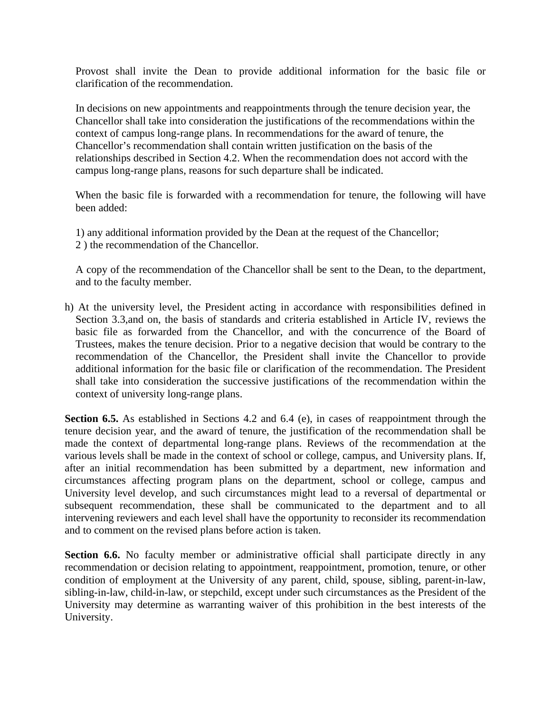Provost shall invite the Dean to provide additional information for the basic file or clarification of the recommendation.

In decisions on new appointments and reappointments through the tenure decision year, the Chancellor shall take into consideration the justifications of the recommendations within the context of campus long-range plans. In recommendations for the award of tenure, the Chancellor's recommendation shall contain written justification on the basis of the relationships described in Section 4.2. When the recommendation does not accord with the campus long-range plans, reasons for such departure shall be indicated.

When the basic file is forwarded with a recommendation for tenure, the following will have been added:

1) any additional information provided by the Dean at the request of the Chancellor; 2 ) the recommendation of the Chancellor.

A copy of the recommendation of the Chancellor shall be sent to the Dean, to the department, and to the faculty member.

h) At the university level, the President acting in accordance with responsibilities defined in Section 3.3,and on, the basis of standards and criteria established in Article IV, reviews the basic file as forwarded from the Chancellor, and with the concurrence of the Board of Trustees, makes the tenure decision. Prior to a negative decision that would be contrary to the recommendation of the Chancellor, the President shall invite the Chancellor to provide additional information for the basic file or clarification of the recommendation. The President shall take into consideration the successive justifications of the recommendation within the context of university long-range plans.

**Section 6.5.** As established in Sections 4.2 and 6.4 (e), in cases of reappointment through the tenure decision year, and the award of tenure, the justification of the recommendation shall be made the context of departmental long-range plans. Reviews of the recommendation at the various levels shall be made in the context of school or college, campus, and University plans. If, after an initial recommendation has been submitted by a department, new information and circumstances affecting program plans on the department, school or college, campus and University level develop, and such circumstances might lead to a reversal of departmental or subsequent recommendation, these shall be communicated to the department and to all intervening reviewers and each level shall have the opportunity to reconsider its recommendation and to comment on the revised plans before action is taken.

**Section 6.6.** No faculty member or administrative official shall participate directly in any recommendation or decision relating to appointment, reappointment, promotion, tenure, or other condition of employment at the University of any parent, child, spouse, sibling, parent-in-law, sibling-in-law, child-in-law, or stepchild, except under such circumstances as the President of the University may determine as warranting waiver of this prohibition in the best interests of the University.